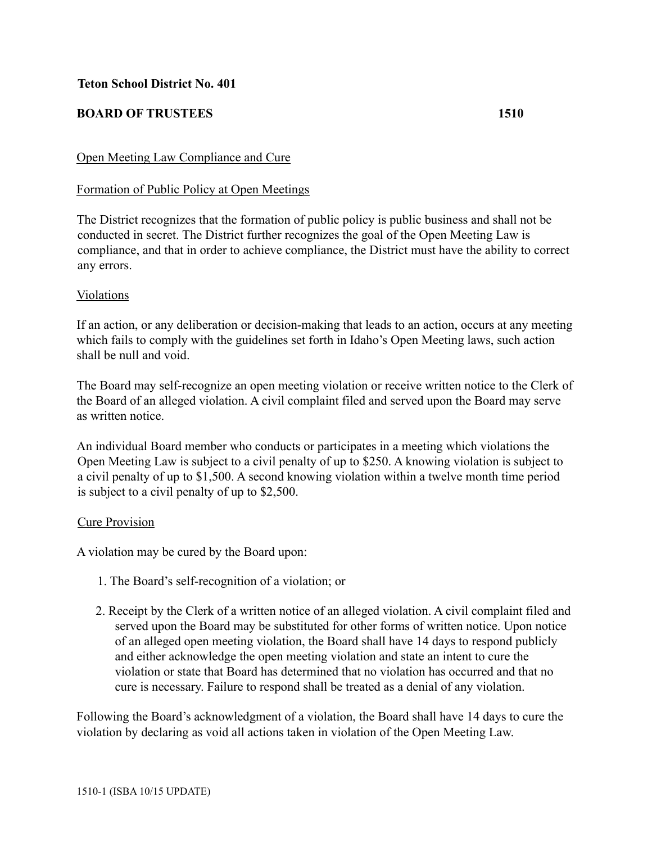## **Teton School District No. 401**

## **BOARD OF TRUSTEES 1510**

## Open Meeting Law Compliance and Cure

### Formation of Public Policy at Open Meetings

The District recognizes that the formation of public policy is public business and shall not be conducted in secret. The District further recognizes the goal of the Open Meeting Law is compliance, and that in order to achieve compliance, the District must have the ability to correct any errors.

#### Violations

If an action, or any deliberation or decision-making that leads to an action, occurs at any meeting which fails to comply with the guidelines set forth in Idaho's Open Meeting laws, such action shall be null and void.

The Board may self-recognize an open meeting violation or receive written notice to the Clerk of the Board of an alleged violation. A civil complaint filed and served upon the Board may serve as written notice.

An individual Board member who conducts or participates in a meeting which violations the Open Meeting Law is subject to a civil penalty of up to \$250. A knowing violation is subject to a civil penalty of up to \$1,500. A second knowing violation within a twelve month time period is subject to a civil penalty of up to \$2,500.

#### Cure Provision

A violation may be cured by the Board upon:

- 1. The Board's self-recognition of a violation; or
- 2. Receipt by the Clerk of a written notice of an alleged violation. A civil complaint filed and served upon the Board may be substituted for other forms of written notice. Upon notice of an alleged open meeting violation, the Board shall have 14 days to respond publicly and either acknowledge the open meeting violation and state an intent to cure the violation or state that Board has determined that no violation has occurred and that no cure is necessary. Failure to respond shall be treated as a denial of any violation.

Following the Board's acknowledgment of a violation, the Board shall have 14 days to cure the violation by declaring as void all actions taken in violation of the Open Meeting Law.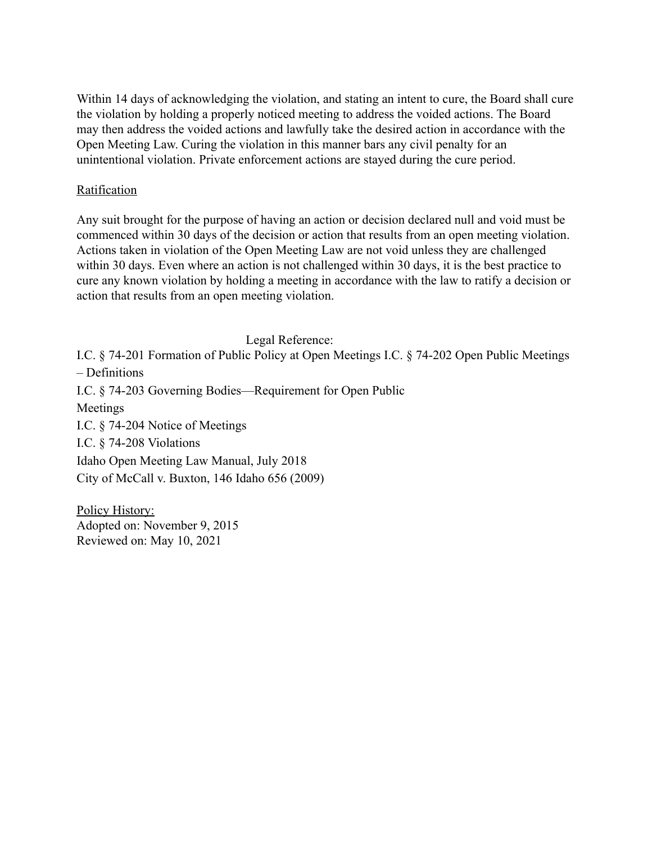Within 14 days of acknowledging the violation, and stating an intent to cure, the Board shall cure the violation by holding a properly noticed meeting to address the voided actions. The Board may then address the voided actions and lawfully take the desired action in accordance with the Open Meeting Law. Curing the violation in this manner bars any civil penalty for an unintentional violation. Private enforcement actions are stayed during the cure period.

# Ratification

Any suit brought for the purpose of having an action or decision declared null and void must be commenced within 30 days of the decision or action that results from an open meeting violation. Actions taken in violation of the Open Meeting Law are not void unless they are challenged within 30 days. Even where an action is not challenged within 30 days, it is the best practice to cure any known violation by holding a meeting in accordance with the law to ratify a decision or action that results from an open meeting violation.

Legal Reference:

I.C. § 74-201 Formation of Public Policy at Open Meetings I.C. § 74-202 Open Public Meetings – Definitions

I.C. § 74-203 Governing Bodies—Requirement for Open Public

Meetings

I.C. § 74-204 Notice of Meetings

I.C. § 74-208 Violations

Idaho Open Meeting Law Manual, July 2018

City of McCall v. Buxton, 146 Idaho 656 (2009)

Policy History: Adopted on: November 9, 2015 Reviewed on: May 10, 2021